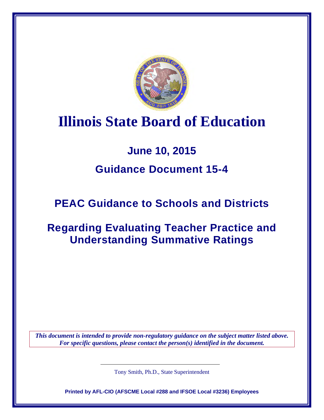

# **Illinois State Board of Education**

## **June 10, 2015**

## **Guidance Document 15-4**

## **PEAC Guidance to Schools and Districts**

## **Regarding Evaluating Teacher Practice and Understanding Summative Ratings**

*This document is intended to provide non-regulatory guidance on the subject matter listed above. For specific questions, please contact the person(s) identified in the document.*

Tony Smith, Ph.D., State Superintendent

**Printed by AFL-CIO (AFSCME Local #288 and IFSOE Local #3236) Employees**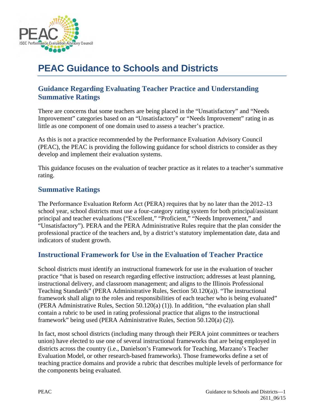

## **PEAC Guidance to Schools and Districts**

## **Guidance Regarding Evaluating Teacher Practice and Understanding Summative Ratings**

There are concerns that some teachers are being placed in the "Unsatisfactory" and "Needs Improvement" categories based on an "Unsatisfactory" or "Needs Improvement" rating in as little as one component of one domain used to assess a teacher's practice.

As this is not a practice recommended by the Performance Evaluation Advisory Council (PEAC), the PEAC is providing the following guidance for school districts to consider as they develop and implement their evaluation systems.

This guidance focuses on the evaluation of teacher practice as it relates to a teacher's summative rating.

### **Summative Ratings**

The Performance Evaluation Reform Act (PERA) requires that by no later than the 2012–13 school year, school districts must use a four-category rating system for both principal/assistant principal and teacher evaluations ("Excellent," "Proficient," "Needs Improvement," and "Unsatisfactory"). PERA and the PERA Administrative Rules require that the plan consider the professional practice of the teachers and, by a district's statutory implementation date, data and indicators of student growth.

## **Instructional Framework for Use in the Evaluation of Teacher Practice**

School districts must identify an instructional framework for use in the evaluation of teacher practice "that is based on research regarding effective instruction; addresses at least planning, instructional delivery, and classroom management; and aligns to the Illinois Professional Teaching Standards" (PERA Administrative Rules, Section 50.120(a)). "The instructional framework shall align to the roles and responsibilities of each teacher who is being evaluated" (PERA Administrative Rules, Section 50.120(a) (1)). In addition, "the evaluation plan shall contain a rubric to be used in rating professional practice that aligns to the instructional framework" being used (PERA Administrative Rules, Section 50.120(a) (2)).

In fact, most school districts (including many through their PERA joint committees or teachers union) have elected to use one of several instructional frameworks that are being employed in districts across the country (i.e., Danielson's Framework for Teaching, Marzano's Teacher Evaluation Model, or other research-based frameworks). Those frameworks define a set of teaching practice domains and provide a rubric that describes multiple levels of performance for the components being evaluated.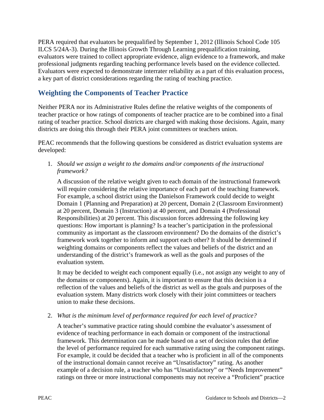PERA required that evaluators be prequalified by September 1, 2012 (Illinois School Code 105 ILCS 5/24A-3). During the Illinois Growth Through Learning prequalification training, evaluators were trained to collect appropriate evidence, align evidence to a framework, and make professional judgments regarding teaching performance levels based on the evidence collected. Evaluators were expected to demonstrate interrater reliability as a part of this evaluation process, a key part of district considerations regarding the rating of teaching practice.

## **Weighting the Components of Teacher Practice**

Neither PERA nor its Administrative Rules define the relative weights of the components of teacher practice or how ratings of components of teacher practice are to be combined into a final rating of teacher practice. School districts are charged with making those decisions. Again, many districts are doing this through their PERA joint committees or teachers union.

PEAC recommends that the following questions be considered as district evaluation systems are developed:

1. *Should we assign a weight to the domains and/or components of the instructional framework?* 

A discussion of the relative weight given to each domain of the instructional framework will require considering the relative importance of each part of the teaching framework. For example, a school district using the Danielson Framework could decide to weight Domain 1 (Planning and Preparation) at 20 percent, Domain 2 (Classroom Environment) at 20 percent, Domain 3 (Instruction) at 40 percent, and Domain 4 (Professional Responsibilities) at 20 percent. This discussion forces addressing the following key questions: How important is planning? Is a teacher's participation in the professional community as important as the classroom environment? Do the domains of the district's framework work together to inform and support each other? It should be determined if weighting domains or components reflect the values and beliefs of the district and an understanding of the district's framework as well as the goals and purposes of the evaluation system.

It may be decided to weight each component equally (i.e., not assign any weight to any of the domains or components). Again, it is important to ensure that this decision is a reflection of the values and beliefs of the district as well as the goals and purposes of the evaluation system. Many districts work closely with their joint committees or teachers union to make these decisions.

2. *What is the minimum level of performance required for each level of practice?* 

A teacher's summative practice rating should combine the evaluator's assessment of evidence of teaching performance in each domain or component of the instructional framework. This determination can be made based on a set of decision rules that define the level of performance required for each summative rating using the component ratings. For example, it could be decided that a teacher who is proficient in all of the components of the instructional domain cannot receive an "Unsatisfactory" rating. As another example of a decision rule, a teacher who has "Unsatisfactory" or "Needs Improvement" ratings on three or more instructional components may not receive a "Proficient" practice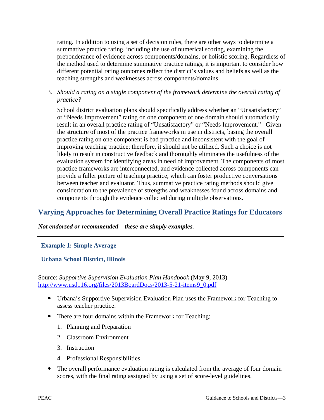rating. In addition to using a set of decision rules, there are other ways to determine a summative practice rating, including the use of numerical scoring, examining the preponderance of evidence across components/domains, or holistic scoring. Regardless of the method used to determine summative practice ratings, it is important to consider how different potential rating outcomes reflect the district's values and beliefs as well as the teaching strengths and weaknesses across components/domains.

3. *Should a rating on a single component of the framework determine the overall rating of practice?* 

School district evaluation plans should specifically address whether an "Unsatisfactory" or "Needs Improvement" rating on one component of one domain should automatically result in an overall practice rating of "Unsatisfactory" or "Needs Improvement." Given the structure of most of the practice frameworks in use in districts, basing the overall practice rating on one component is bad practice and inconsistent with the goal of improving teaching practice; therefore, it should not be utilized. Such a choice is not likely to result in constructive feedback and thoroughly eliminates the usefulness of the evaluation system for identifying areas in need of improvement. The components of most practice frameworks are interconnected, and evidence collected across components can provide a fuller picture of teaching practice, which can foster productive conversations between teacher and evaluator. Thus, summative practice rating methods should give consideration to the prevalence of strengths and weaknesses found across domains and components through the evidence collected during multiple observations.

## **Varying Approaches for Determining Overall Practice Ratings for Educators**

#### *Not endorsed or recommended—these are simply examples.*

### **Example 1: Simple Average**

**Urbana School District, Illinois** 

Source: *Supportive Supervision Evaluation Plan Handbook* (May 9, 2013) [http://www.usd116.org/files/2013BoardDocs/2013-5-21-items9\\_0.pdf](http://www.usd116.org/files/2013BoardDocs/2013-5-21-items9_0.pdf)

- Urbana's Supportive Supervision Evaluation Plan uses the Framework for Teaching to assess teacher practice.
- There are four domains within the Framework for Teaching:
	- 1. Planning and Preparation
	- 2. Classroom Environment
	- 3. Instruction
	- 4. Professional Responsibilities
- The overall performance evaluation rating is calculated from the average of four domain scores, with the final rating assigned by using a set of score-level guidelines.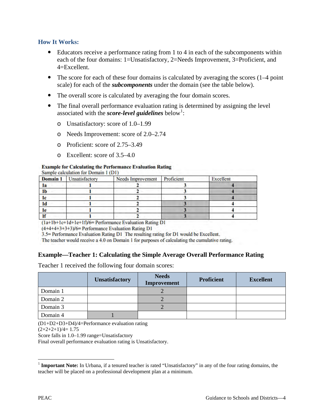#### **How It Works:**

- Educators receive a performance rating from 1 to 4 in each of the subcomponents within each of the four domains: 1=Unsatisfactory, 2=Needs Improvement, 3=Proficient, and 4=Excellent.
- The score for each of these four domains is calculated by averaging the scores (1–4 point) scale) for each of the *subcomponents* under the domain (see the table below).
- The overall score is calculated by averaging the four domain scores.
- The final overall performance evaluation rating is determined by assigning the level associated with the *score-level guidelines* below<sup>[1](#page-4-0)</sup>:
	- o Unsatisfactory: score of 1.0–1.99
	- o Needs Improvement: score of 2.0–2.74
	- o Proficient: score of 2.75–3.49
	- o Excellent: score of 3.5–4.0

#### **Example for Calculating the Performance Evaluation Rating**

|                | <b>Domain 1</b> Unsatisfactory | <b>Needs Improvement</b> | Proficient | Excellent |
|----------------|--------------------------------|--------------------------|------------|-----------|
| la             |                                |                          |            |           |
| 1 <sub>b</sub> |                                |                          |            |           |
| ıc             |                                |                          |            |           |
| 1d             |                                |                          |            |           |
| 1e             |                                |                          |            |           |
|                |                                |                          |            |           |

 $(la+1b+lc+1d+lf)/6=$  Performance Evaluation Rating D1

 $(4+4+4+3+3+3)/6$ = Performance Evaluation Rating D1

3.5= Performance Evaluation Rating D1 The resulting rating for D1 would be Excellent.

The teacher would receive a 4.0 on Domain 1 for purposes of calculating the cumulative rating.

#### **Example—Teacher 1: Calculating the Simple Average Overall Performance Rating**

Teacher 1 received the following four domain scores:

|          | <b>Unsatisfactory</b> | <b>Needs</b><br>Improvement | <b>Proficient</b> | <b>Excellent</b> |
|----------|-----------------------|-----------------------------|-------------------|------------------|
| Domain 1 |                       |                             |                   |                  |
| Domain 2 |                       |                             |                   |                  |
| Domain 3 |                       |                             |                   |                  |
| Domain 4 |                       |                             |                   |                  |

(D1+D2+D3+D4)/4=Performance evaluation rating

 $(2+2+2+1)/4=1.75$ 

Score falls in 1.0–1.99 range=Unsatisfactory

Final overall performance evaluation rating is Unsatisfactory.

 $\overline{a}$ 

<span id="page-4-0"></span><sup>&</sup>lt;sup>1</sup> **Important Note:** In Urbana, if a tenured teacher is rated "Unsatisfactory" in any of the four rating domains, the teacher will be placed on a professional development plan at a minimum.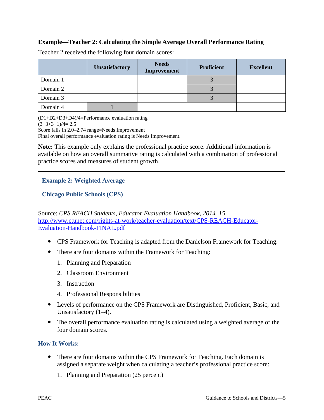### **Example—Teacher 2: Calculating the Simple Average Overall Performance Rating**

|          | <b>Unsatisfactory</b> | <b>Needs</b><br>Improvement | <b>Proficient</b> | <b>Excellent</b> |
|----------|-----------------------|-----------------------------|-------------------|------------------|
| Domain 1 |                       |                             |                   |                  |
| Domain 2 |                       |                             |                   |                  |
| Domain 3 |                       |                             |                   |                  |
| Domain 4 |                       |                             |                   |                  |

Teacher 2 received the following four domain scores:

(D1+D2+D3+D4)/4=Performance evaluation rating  $(3+3+3+1)/4=2.5$ Score falls in 2.0–2.74 range=Needs Improvement

Final overall performance evaluation rating is Needs Improvement.

**Note:** This example only explains the professional practice score. Additional information is available on how an overall summative rating is calculated with a combination of professional practice scores and measures of student growth.

### **Example 2: Weighted Average**

**Chicago Public Schools (CPS)**

Source: *CPS REACH Students, Educator Evaluation Handbook, 2014–15*  [http://www.ctunet.com/rights-at-work/teacher-evaluation/text/CPS-REACH-Educator-](http://www.ctunet.com/rights-at-work/teacher-evaluation/text/CPS-REACH-Educator-Evaluation-Handbook-FINAL.pdf)[Evaluation-Handbook-FINAL.pdf](http://www.ctunet.com/rights-at-work/teacher-evaluation/text/CPS-REACH-Educator-Evaluation-Handbook-FINAL.pdf)

- CPS Framework for Teaching is adapted from the Danielson Framework for Teaching.
- There are four domains within the Framework for Teaching:
	- 1. Planning and Preparation
	- 2. Classroom Environment
	- 3. Instruction
	- 4. Professional Responsibilities
- Levels of performance on the CPS Framework are Distinguished, Proficient, Basic, and Unsatisfactory (1–4).
- The overall performance evaluation rating is calculated using a weighted average of the four domain scores.

### **How It Works:**

- There are four domains within the CPS Framework for Teaching. Each domain is assigned a separate weight when calculating a teacher's professional practice score:
	- 1. Planning and Preparation (25 percent)